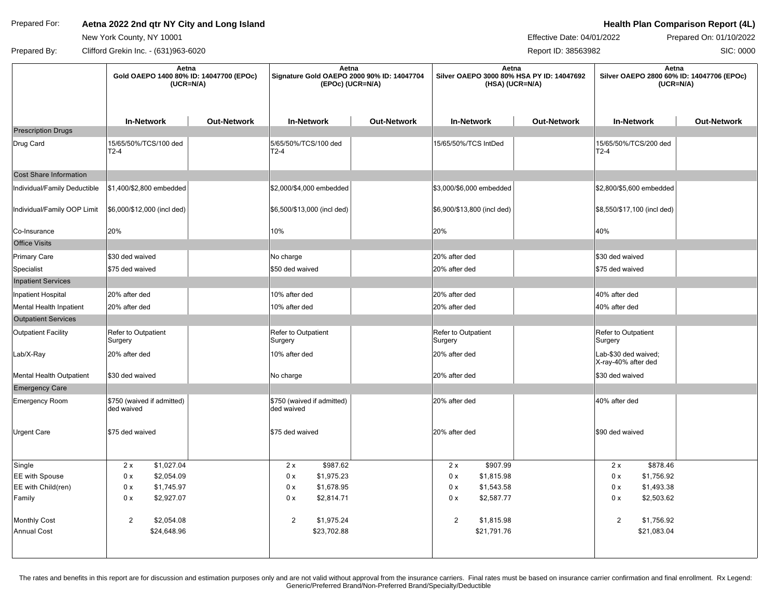## Prepared For: **Aetna 2022 2nd qtr NY City and Long Island Active 2008 Health Plan Comparison Report (4L)**

New York County, NY 10001

Effective Date: 04/01/2022 Prepared On: 01/10/2022

SIC: 0000

Prepared By: Clifford Grekin Inc. - (631)963-6020 Report ID: 38563982 ┯

|                               | Aetna<br>Gold OAEPO 1400 80% ID: 14047700 (EPOc)<br>$(UCR=N/A)$ |                    | Aetna<br>Signature Gold OAEPO 2000 90% ID: 14047704<br>(EPOc) (UCR=N/A) |                    | Aetna<br>Silver OAEPO 3000 80% HSA PY ID: 14047692<br>(HSA) (UCR=N/A) |                    | Aetna<br>Silver OAEPO 2800 60% ID: 14047706 (EPOc)<br>$(UCR=N/A)$ |                    |
|-------------------------------|-----------------------------------------------------------------|--------------------|-------------------------------------------------------------------------|--------------------|-----------------------------------------------------------------------|--------------------|-------------------------------------------------------------------|--------------------|
|                               | <b>In-Network</b>                                               | <b>Out-Network</b> | <b>In-Network</b>                                                       | <b>Out-Network</b> | <b>In-Network</b>                                                     | <b>Out-Network</b> | <b>In-Network</b>                                                 | <b>Out-Network</b> |
| <b>Prescription Drugs</b>     |                                                                 |                    |                                                                         |                    |                                                                       |                    |                                                                   |                    |
| Drug Card                     | 15/65/50%/TCS/100 ded<br>$T2-4$                                 |                    | 5/65/50%/TCS/100 ded<br>T2-4                                            |                    | 15/65/50%/TCS IntDed                                                  |                    | 15/65/50%/TCS/200 ded<br>$T2-4$                                   |                    |
| <b>Cost Share Information</b> |                                                                 |                    |                                                                         |                    |                                                                       |                    |                                                                   |                    |
| Individual/Family Deductible  | \$1,400/\$2,800 embedded                                        |                    | \$2,000/\$4,000 embedded                                                |                    | \$3,000/\$6,000 embedded                                              |                    | \$2,800/\$5,600 embedded                                          |                    |
| Individual/Family OOP Limit   | \$6,000/\$12,000 (incl ded)                                     |                    | \$6,500/\$13,000 (incl ded)                                             |                    | \$6,900/\$13,800 (incl ded)                                           |                    | \$8,550/\$17,100 (incl ded)                                       |                    |
| Co-Insurance                  | 20%                                                             |                    | 10%                                                                     |                    | 20%                                                                   |                    | 40%                                                               |                    |
| <b>Office Visits</b>          |                                                                 |                    |                                                                         |                    |                                                                       |                    |                                                                   |                    |
| <b>Primary Care</b>           | \$30 ded waived                                                 |                    | No charge                                                               |                    | 20% after ded                                                         |                    | \$30 ded waived                                                   |                    |
| Specialist                    | \$75 ded waived                                                 |                    | \$50 ded waived                                                         |                    | 20% after ded                                                         |                    | \$75 ded waived                                                   |                    |
| <b>Inpatient Services</b>     |                                                                 |                    |                                                                         |                    |                                                                       |                    |                                                                   |                    |
| Inpatient Hospital            | 20% after ded                                                   |                    | 10% after ded                                                           |                    | 20% after ded                                                         |                    | 40% after ded                                                     |                    |
| Mental Health Inpatient       | 20% after ded                                                   |                    | 10% after ded                                                           |                    | 20% after ded                                                         |                    | 40% after ded                                                     |                    |
| <b>Outpatient Services</b>    |                                                                 |                    |                                                                         |                    |                                                                       |                    |                                                                   |                    |
| <b>Outpatient Facility</b>    | Refer to Outpatient<br>Surgery                                  |                    | Refer to Outpatient<br>Surgery                                          |                    | Refer to Outpatient<br>Surgery                                        |                    | Refer to Outpatient<br>Surgery                                    |                    |
| Lab/X-Ray                     | 20% after ded                                                   |                    | 10% after ded                                                           |                    | 20% after ded                                                         |                    | Lab-\$30 ded waived;<br>X-ray-40% after ded                       |                    |
| Mental Health Outpatient      | \$30 ded waived                                                 |                    | No charge                                                               |                    | 20% after ded                                                         |                    | \$30 ded waived                                                   |                    |
| <b>Emergency Care</b>         |                                                                 |                    |                                                                         |                    |                                                                       |                    |                                                                   |                    |
| <b>Emergency Room</b>         | \$750 (waived if admitted)<br>ded waived                        |                    | \$750 (waived if admitted)<br>ded waived                                |                    | 20% after ded                                                         |                    | 40% after ded                                                     |                    |
| Urgent Care                   | \$75 ded waived                                                 |                    | \$75 ded waived                                                         |                    | 20% after ded                                                         |                    | \$90 ded waived                                                   |                    |
| Single                        | 2x<br>\$1,027.04                                                |                    | \$987.62<br>2x                                                          |                    | \$907.99<br>2x                                                        |                    | \$878.46<br>2x                                                    |                    |
| EE with Spouse                | 0 x<br>\$2,054.09                                               |                    | 0 x<br>\$1,975.23                                                       |                    | 0 x<br>\$1,815.98                                                     |                    | 0 x<br>\$1,756.92                                                 |                    |
| EE with Child(ren)            | 0 x<br>\$1,745.97                                               |                    | \$1,678.95<br>0 x                                                       |                    | \$1,543.58<br>0 x                                                     |                    | 0 x<br>\$1,493.38                                                 |                    |
| Family                        | 0 x<br>\$2,927.07                                               |                    | \$2,814.71<br>0 x                                                       |                    | 0 x<br>\$2,587.77                                                     |                    | \$2,503.62<br>0 x                                                 |                    |
| <b>Monthly Cost</b>           | 2<br>\$2,054.08                                                 |                    | $\overline{2}$<br>\$1,975.24                                            |                    | $\overline{2}$<br>\$1,815.98                                          |                    | $\overline{2}$<br>\$1,756.92                                      |                    |
| <b>Annual Cost</b>            | \$24,648.96                                                     |                    | \$23,702.88                                                             |                    | \$21,791.76                                                           |                    | \$21,083.04                                                       |                    |

The rates and benefits in this report are for discussion and estimation purposes only and are not valid without approval from the insurance carriers. Final rates must be based on insurance carrier confirmation and final en Generic/Preferred Brand/Non-Preferred Brand/Specialty/Deductible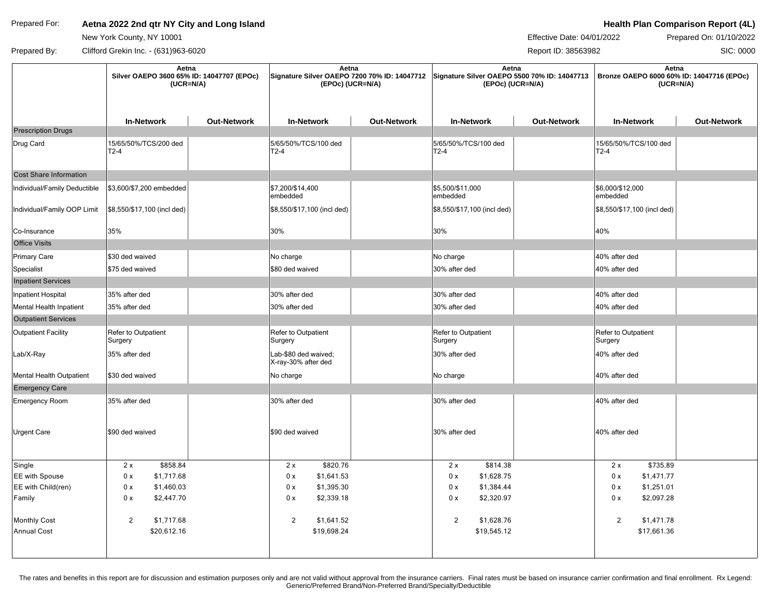## Prepared For: **Aetna 2022 2nd qtr NY City and Long Island Active 2008 Health Plan Comparison Report (4L)**

New York County, NY 10001

Effective Date: 04/01/2022 Prepared On: 01/10/2022

SIC: 0000

Prepared By: Clifford Grekin Inc. - (631)963-6020 Report ID: 38563982 ┯

|                               | Aetna<br>Silver OAEPO 3600 65% ID: 14047707 (EPOc)<br>$(UCR=N/A)$ |                    | Aetna<br>Signature Silver OAEPO 7200 70% ID: 14047712 Signature Silver OAEPO 5500 70% ID: 14047713<br>(EPOc) (UCR=N/A) |                    | Aetna<br>(EPOc) (UCR=N/A)      |                    | Aetna<br>Bronze OAEPO 6000 60% ID: 14047716 (EPOc)<br>$(UCR=N/A)$ |                    |
|-------------------------------|-------------------------------------------------------------------|--------------------|------------------------------------------------------------------------------------------------------------------------|--------------------|--------------------------------|--------------------|-------------------------------------------------------------------|--------------------|
|                               | <b>In-Network</b>                                                 | <b>Out-Network</b> | <b>In-Network</b>                                                                                                      | <b>Out-Network</b> | <b>In-Network</b>              | <b>Out-Network</b> | <b>In-Network</b>                                                 | <b>Out-Network</b> |
| <b>Prescription Drugs</b>     |                                                                   |                    |                                                                                                                        |                    |                                |                    |                                                                   |                    |
| Drug Card                     | 15/65/50%/TCS/200 ded<br>$T2-4$                                   |                    | 5/65/50%/TCS/100 ded<br>$ T2-4 $                                                                                       |                    | 5/65/50%/TCS/100 ded<br>$T2-4$ |                    | 15/65/50%/TCS/100 ded<br>$T2-4$                                   |                    |
| <b>Cost Share Information</b> |                                                                   |                    |                                                                                                                        |                    |                                |                    |                                                                   |                    |
| Individual/Family Deductible  | \$3,600/\$7,200 embedded                                          |                    | \$7,200/\$14,400<br>embedded                                                                                           |                    | \$5,500/\$11,000<br>embedded   |                    | \$6,000/\$12,000<br>embedded                                      |                    |
| Individual/Family OOP Limit   | \$8,550/\$17,100 (incl ded)                                       |                    | \$8,550/\$17,100 (incl ded)                                                                                            |                    | \$8,550/\$17,100 (incl ded)    |                    | \$8,550/\$17,100 (incl ded)                                       |                    |
| Co-Insurance                  | 35%                                                               |                    | 30%                                                                                                                    |                    | 30%                            |                    | 40%                                                               |                    |
| <b>Office Visits</b>          |                                                                   |                    |                                                                                                                        |                    |                                |                    |                                                                   |                    |
| Primary Care                  | \$30 ded waived                                                   |                    | No charge                                                                                                              |                    | No charge                      |                    | 40% after ded                                                     |                    |
| Specialist                    | \$75 ded waived                                                   |                    | \$80 ded waived                                                                                                        |                    | 30% after ded                  |                    | 40% after ded                                                     |                    |
| <b>Inpatient Services</b>     |                                                                   |                    |                                                                                                                        |                    |                                |                    |                                                                   |                    |
| Inpatient Hospital            | 35% after ded                                                     |                    | 30% after ded                                                                                                          |                    | 30% after ded                  |                    | 40% after ded                                                     |                    |
| Mental Health Inpatient       | 35% after ded                                                     |                    | 30% after ded                                                                                                          |                    | 30% after ded                  |                    | 40% after ded                                                     |                    |
| <b>Outpatient Services</b>    |                                                                   |                    |                                                                                                                        |                    |                                |                    |                                                                   |                    |
| <b>Outpatient Facility</b>    | Refer to Outpatient<br>Surgery                                    |                    | Refer to Outpatient<br>Surgery                                                                                         |                    | Refer to Outpatient<br>Surgery |                    | Refer to Outpatient<br>Surgery                                    |                    |
| Lab/X-Ray                     | 35% after ded                                                     |                    | Lab-\$80 ded waived;<br>X-ray-30% after ded                                                                            |                    | 30% after ded                  |                    | 40% after ded                                                     |                    |
| Mental Health Outpatient      | \$30 ded waived                                                   |                    | No charge                                                                                                              |                    | No charge                      |                    | 40% after ded                                                     |                    |
| <b>Emergency Care</b>         |                                                                   |                    |                                                                                                                        |                    |                                |                    |                                                                   |                    |
| Emergency Room                | 35% after ded                                                     |                    | 30% after ded                                                                                                          |                    | 30% after ded                  |                    | 40% after ded                                                     |                    |
| <b>Urgent Care</b>            | \$90 ded waived                                                   |                    | \$90 ded waived                                                                                                        |                    | 30% after ded                  |                    | 40% after ded                                                     |                    |
| Single                        | \$858.84<br>2x                                                    |                    | \$820.76<br>2x                                                                                                         |                    | \$814.38<br>2x                 |                    | \$735.89<br>2x                                                    |                    |
| <b>EE</b> with Spouse         | 0 x<br>\$1,717.68                                                 |                    | \$1,641.53<br>0 x                                                                                                      |                    | 0 x<br>\$1,628.75              |                    | 0 x<br>\$1,471.77                                                 |                    |
| EE with Child(ren)            | 0 x<br>\$1,460.03                                                 |                    | 0 x<br>\$1,395.30                                                                                                      |                    | 0 x<br>\$1,384.44              |                    | 0 x<br>\$1,251.01                                                 |                    |
| Family                        | 0 x<br>\$2,447.70                                                 |                    | \$2,339.18<br>0 x                                                                                                      |                    | 0 x<br>\$2,320.97              |                    | 0 x<br>\$2,097.28                                                 |                    |
| <b>Monthly Cost</b>           | $\overline{c}$<br>\$1,717.68                                      |                    | $\overline{2}$<br>\$1,641.52                                                                                           |                    | $\overline{2}$<br>\$1,628.76   |                    | $\overline{2}$<br>\$1,471.78                                      |                    |
| <b>Annual Cost</b>            | \$20,612.16                                                       |                    | \$19,698.24                                                                                                            |                    | \$19,545.12                    |                    | \$17,661.36                                                       |                    |
|                               |                                                                   |                    |                                                                                                                        |                    |                                |                    |                                                                   |                    |

The rates and benefits in this report are for discussion and estimation purposes only and are not valid without approval from the insurance carriers. Final rates must be based on insurance carrier confirmation and final en Generic/Preferred Brand/Non-Preferred Brand/Specialty/Deductible